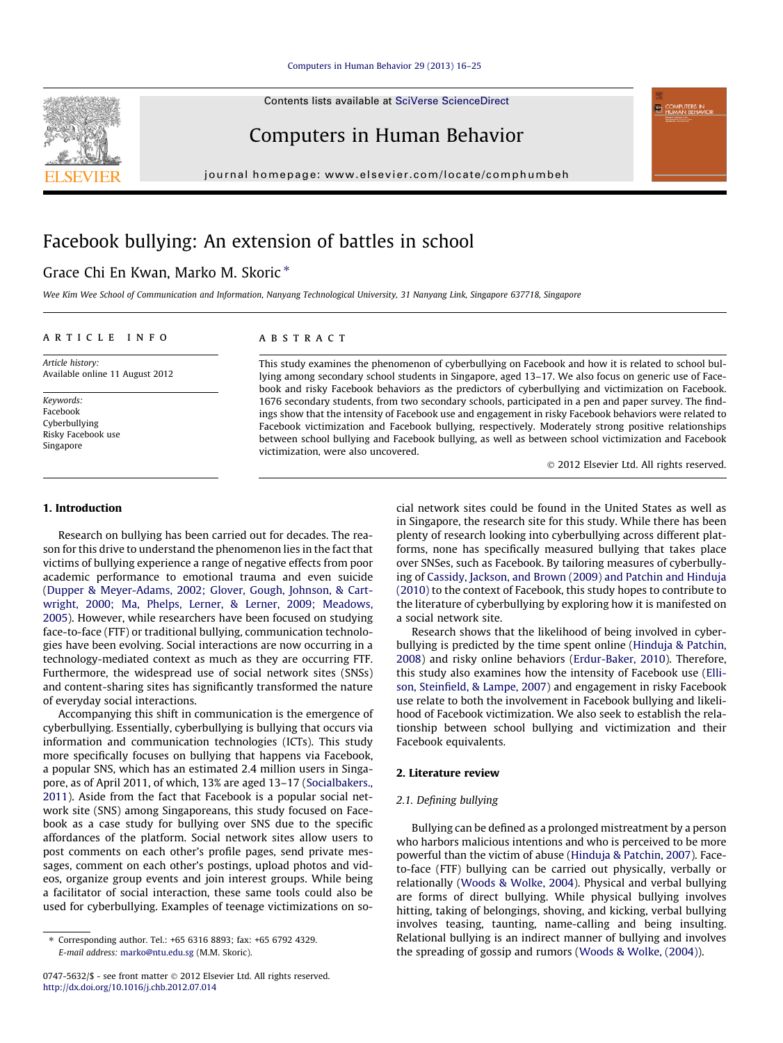Contents lists available at [SciVerse ScienceDirect](http://www.sciencedirect.com/science/journal/07475632)

## Computers in Human Behavior

journal homepage: [www.elsevier.com/locate/comphumbeh](http://www.elsevier.com/locate/comphumbeh)

# Facebook bullying: An extension of battles in school

## Grace Chi En Kwan, Marko M. Skoric  $*$

Wee Kim Wee School of Communication and Information, Nanyang Technological University, 31 Nanyang Link, Singapore 637718, Singapore

#### article info

Article history: Available online 11 August 2012

Keywords: Facebook Cyberbullying Risky Facebook use Singapore

### **ABSTRACT**

This study examines the phenomenon of cyberbullying on Facebook and how it is related to school bullying among secondary school students in Singapore, aged 13–17. We also focus on generic use of Facebook and risky Facebook behaviors as the predictors of cyberbullying and victimization on Facebook. 1676 secondary students, from two secondary schools, participated in a pen and paper survey. The findings show that the intensity of Facebook use and engagement in risky Facebook behaviors were related to Facebook victimization and Facebook bullying, respectively. Moderately strong positive relationships between school bullying and Facebook bullying, as well as between school victimization and Facebook victimization, were also uncovered.

- 2012 Elsevier Ltd. All rights reserved.

#### 1. Introduction

Research on bullying has been carried out for decades. The reason for this drive to understand the phenomenon lies in the fact that victims of bullying experience a range of negative effects from poor academic performance to emotional trauma and even suicide ([Dupper & Meyer-Adams, 2002; Glover, Gough, Johnson, & Cart](#page--1-0)[wright, 2000; Ma, Phelps, Lerner, & Lerner, 2009; Meadows,](#page--1-0) [2005\)](#page--1-0). However, while researchers have been focused on studying face-to-face (FTF) or traditional bullying, communication technologies have been evolving. Social interactions are now occurring in a technology-mediated context as much as they are occurring FTF. Furthermore, the widespread use of social network sites (SNSs) and content-sharing sites has significantly transformed the nature of everyday social interactions.

Accompanying this shift in communication is the emergence of cyberbullying. Essentially, cyberbullying is bullying that occurs via information and communication technologies (ICTs). This study more specifically focuses on bullying that happens via Facebook, a popular SNS, which has an estimated 2.4 million users in Singapore, as of April 2011, of which, 13% are aged 13–17 [\(Socialbakers.,](#page--1-0) [2011\)](#page--1-0). Aside from the fact that Facebook is a popular social network site (SNS) among Singaporeans, this study focused on Facebook as a case study for bullying over SNS due to the specific affordances of the platform. Social network sites allow users to post comments on each other's profile pages, send private messages, comment on each other's postings, upload photos and videos, organize group events and join interest groups. While being a facilitator of social interaction, these same tools could also be used for cyberbullying. Examples of teenage victimizations on social network sites could be found in the United States as well as in Singapore, the research site for this study. While there has been plenty of research looking into cyberbullying across different platforms, none has specifically measured bullying that takes place over SNSes, such as Facebook. By tailoring measures of cyberbullying of [Cassidy, Jackson, and Brown \(2009\) and Patchin and Hinduja](#page--1-0) [\(2010\)](#page--1-0) to the context of Facebook, this study hopes to contribute to the literature of cyberbullying by exploring how it is manifested on a social network site.

Research shows that the likelihood of being involved in cyberbullying is predicted by the time spent online ([Hinduja & Patchin,](#page--1-0) [2008\)](#page--1-0) and risky online behaviors ([Erdur-Baker, 2010](#page--1-0)). Therefore, this study also examines how the intensity of Facebook use [\(Elli](#page--1-0)[son, Steinfield, & Lampe, 2007\)](#page--1-0) and engagement in risky Facebook use relate to both the involvement in Facebook bullying and likelihood of Facebook victimization. We also seek to establish the relationship between school bullying and victimization and their Facebook equivalents.

#### 2. Literature review

#### 2.1. Defining bullying

Bullying can be defined as a prolonged mistreatment by a person who harbors malicious intentions and who is perceived to be more powerful than the victim of abuse [\(Hinduja & Patchin, 2007\)](#page--1-0). Faceto-face (FTF) bullying can be carried out physically, verbally or relationally ([Woods & Wolke, 2004\)](#page--1-0). Physical and verbal bullying are forms of direct bullying. While physical bullying involves hitting, taking of belongings, shoving, and kicking, verbal bullying involves teasing, taunting, name-calling and being insulting. Relational bullying is an indirect manner of bullying and involves the spreading of gossip and rumors ([Woods & Wolke, \(2004\)\)](#page--1-0).



<sup>⇑</sup> Corresponding author. Tel.: +65 6316 8893; fax: +65 6792 4329. E-mail address: [marko@ntu.edu.sg](mailto:marko@ntu.edu.sg) (M.M. Skoric).

<sup>0747-5632/\$ -</sup> see front matter © 2012 Elsevier Ltd. All rights reserved. <http://dx.doi.org/10.1016/j.chb.2012.07.014>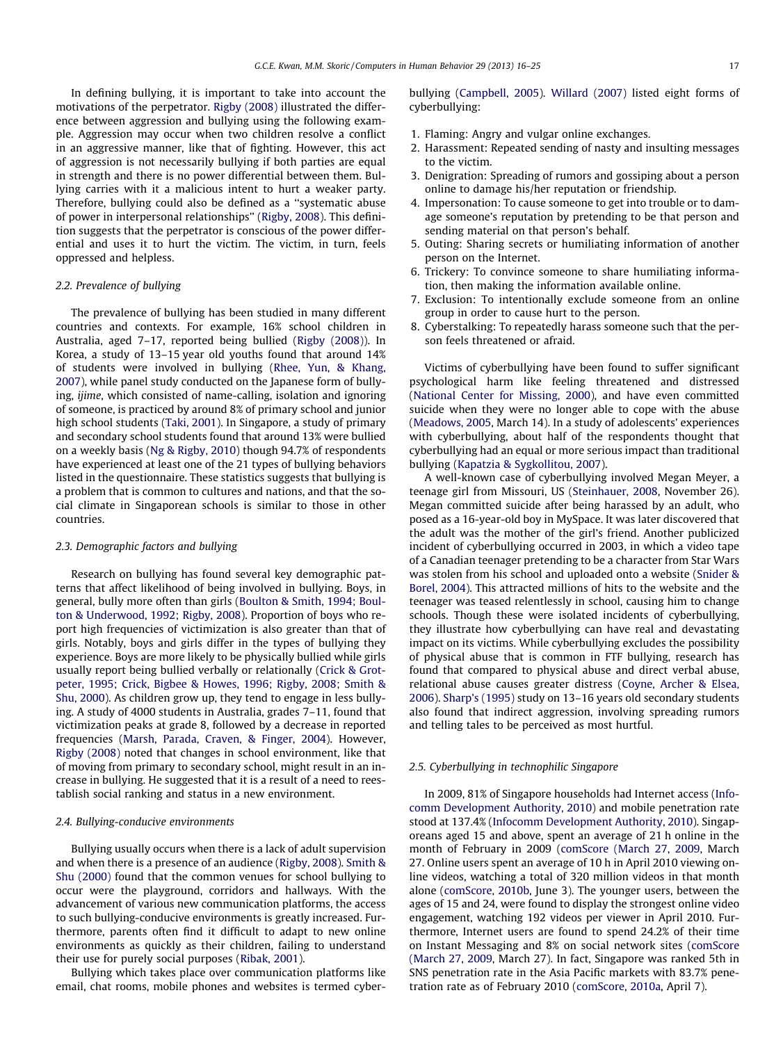In defining bullying, it is important to take into account the motivations of the perpetrator. [Rigby \(2008\)](#page--1-0) illustrated the difference between aggression and bullying using the following example. Aggression may occur when two children resolve a conflict in an aggressive manner, like that of fighting. However, this act of aggression is not necessarily bullying if both parties are equal in strength and there is no power differential between them. Bullying carries with it a malicious intent to hurt a weaker party. Therefore, bullying could also be defined as a ''systematic abuse of power in interpersonal relationships'' [\(Rigby, 2008](#page--1-0)). This definition suggests that the perpetrator is conscious of the power differential and uses it to hurt the victim. The victim, in turn, feels oppressed and helpless.

#### 2.2. Prevalence of bullying

The prevalence of bullying has been studied in many different countries and contexts. For example, 16% school children in Australia, aged 7–17, reported being bullied [\(Rigby \(2008\)\)](#page--1-0). In Korea, a study of 13–15 year old youths found that around 14% of students were involved in bullying [\(Rhee, Yun, & Khang,](#page--1-0) [2007](#page--1-0)), while panel study conducted on the Japanese form of bullying, ijime, which consisted of name-calling, isolation and ignoring of someone, is practiced by around 8% of primary school and junior high school students ([Taki, 2001\)](#page--1-0). In Singapore, a study of primary and secondary school students found that around 13% were bullied on a weekly basis [\(Ng & Rigby, 2010](#page--1-0)) though 94.7% of respondents have experienced at least one of the 21 types of bullying behaviors listed in the questionnaire. These statistics suggests that bullying is a problem that is common to cultures and nations, and that the social climate in Singaporean schools is similar to those in other countries.

#### 2.3. Demographic factors and bullying

Research on bullying has found several key demographic patterns that affect likelihood of being involved in bullying. Boys, in general, bully more often than girls [\(Boulton & Smith, 1994; Boul](#page--1-0)[ton & Underwood, 1992; Rigby, 2008](#page--1-0)). Proportion of boys who report high frequencies of victimization is also greater than that of girls. Notably, boys and girls differ in the types of bullying they experience. Boys are more likely to be physically bullied while girls usually report being bullied verbally or relationally [\(Crick & Grot](#page--1-0)[peter, 1995; Crick, Bigbee & Howes, 1996; Rigby, 2008; Smith &](#page--1-0) [Shu, 2000\)](#page--1-0). As children grow up, they tend to engage in less bullying. A study of 4000 students in Australia, grades 7–11, found that victimization peaks at grade 8, followed by a decrease in reported frequencies ([Marsh, Parada, Craven, & Finger, 2004](#page--1-0)). However, [Rigby \(2008\)](#page--1-0) noted that changes in school environment, like that of moving from primary to secondary school, might result in an increase in bullying. He suggested that it is a result of a need to reestablish social ranking and status in a new environment.

#### 2.4. Bullying-conducive environments

Bullying usually occurs when there is a lack of adult supervision and when there is a presence of an audience ([Rigby, 2008\)](#page--1-0). [Smith &](#page--1-0) [Shu \(2000\)](#page--1-0) found that the common venues for school bullying to occur were the playground, corridors and hallways. With the advancement of various new communication platforms, the access to such bullying-conducive environments is greatly increased. Furthermore, parents often find it difficult to adapt to new online environments as quickly as their children, failing to understand their use for purely social purposes ([Ribak, 2001](#page--1-0)).

Bullying which takes place over communication platforms like email, chat rooms, mobile phones and websites is termed cyberbullying ([Campbell, 2005](#page--1-0)). [Willard \(2007\)](#page--1-0) listed eight forms of cyberbullying:

- 1. Flaming: Angry and vulgar online exchanges.
- 2. Harassment: Repeated sending of nasty and insulting messages to the victim.
- 3. Denigration: Spreading of rumors and gossiping about a person online to damage his/her reputation or friendship.
- 4. Impersonation: To cause someone to get into trouble or to damage someone's reputation by pretending to be that person and sending material on that person's behalf.
- 5. Outing: Sharing secrets or humiliating information of another person on the Internet.
- 6. Trickery: To convince someone to share humiliating information, then making the information available online.
- 7. Exclusion: To intentionally exclude someone from an online group in order to cause hurt to the person.
- 8. Cyberstalking: To repeatedly harass someone such that the person feels threatened or afraid.

Victims of cyberbullying have been found to suffer significant psychological harm like feeling threatened and distressed ([National Center for Missing, 2000](#page--1-0)), and have even committed suicide when they were no longer able to cope with the abuse ([Meadows, 2005,](#page--1-0) March 14). In a study of adolescents' experiences with cyberbullying, about half of the respondents thought that cyberbullying had an equal or more serious impact than traditional bullying [\(Kapatzia & Sygkollitou, 2007](#page--1-0)).

A well-known case of cyberbullying involved Megan Meyer, a teenage girl from Missouri, US ([Steinhauer, 2008,](#page--1-0) November 26). Megan committed suicide after being harassed by an adult, who posed as a 16-year-old boy in MySpace. It was later discovered that the adult was the mother of the girl's friend. Another publicized incident of cyberbullying occurred in 2003, in which a video tape of a Canadian teenager pretending to be a character from Star Wars was stolen from his school and uploaded onto a website [\(Snider &](#page--1-0) [Borel, 2004](#page--1-0)). This attracted millions of hits to the website and the teenager was teased relentlessly in school, causing him to change schools. Though these were isolated incidents of cyberbullying, they illustrate how cyberbullying can have real and devastating impact on its victims. While cyberbullying excludes the possibility of physical abuse that is common in FTF bullying, research has found that compared to physical abuse and direct verbal abuse, relational abuse causes greater distress [\(Coyne, Archer & Elsea,](#page--1-0) [2006](#page--1-0)). [Sharp's \(1995\)](#page--1-0) study on 13–16 years old secondary students also found that indirect aggression, involving spreading rumors and telling tales to be perceived as most hurtful.

#### 2.5. Cyberbullying in technophilic Singapore

In 2009, 81% of Singapore households had Internet access [\(Info](#page--1-0)[comm Development Authority, 2010](#page--1-0)) and mobile penetration rate stood at 137.4% ([Infocomm Development Authority, 2010](#page--1-0)). Singaporeans aged 15 and above, spent an average of 21 h online in the month of February in 2009 ([comScore \(March 27, 2009,](#page--1-0) March 27. Online users spent an average of 10 h in April 2010 viewing online videos, watching a total of 320 million videos in that month alone [\(comScore, 2010b,](#page--1-0) June 3). The younger users, between the ages of 15 and 24, were found to display the strongest online video engagement, watching 192 videos per viewer in April 2010. Furthermore, Internet users are found to spend 24.2% of their time on Instant Messaging and 8% on social network sites [\(comScore](#page--1-0) [\(March 27, 2009,](#page--1-0) March 27). In fact, Singapore was ranked 5th in SNS penetration rate in the Asia Pacific markets with 83.7% penetration rate as of February 2010 ([comScore, 2010a,](#page--1-0) April 7).